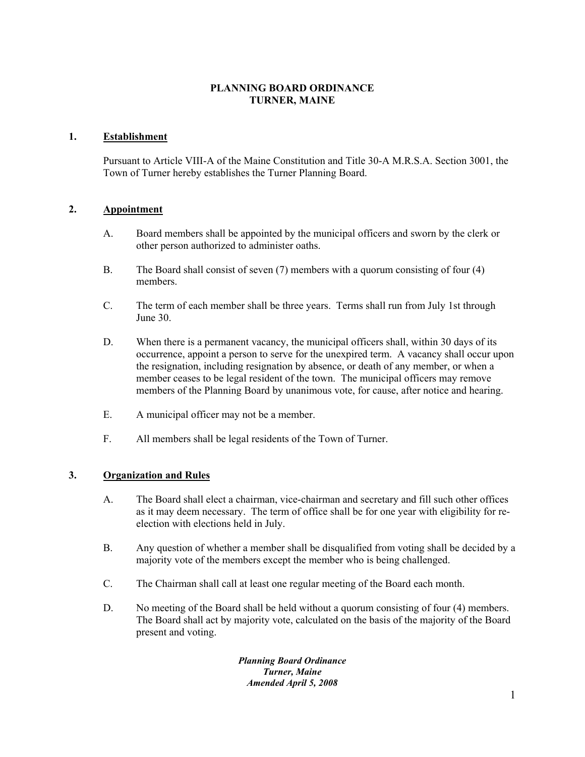# **PLANNING BOARD ORDINANCE TURNER, MAINE**

# **1. Establishment**

Pursuant to Article VIII-A of the Maine Constitution and Title 30-A M.R.S.A. Section 3001, the Town of Turner hereby establishes the Turner Planning Board.

# **2. Appointment**

- A. Board members shall be appointed by the municipal officers and sworn by the clerk or other person authorized to administer oaths.
- B. The Board shall consist of seven (7) members with a quorum consisting of four (4) members.
- C. The term of each member shall be three years. Terms shall run from July 1st through June 30.
- D. When there is a permanent vacancy, the municipal officers shall, within 30 days of its occurrence, appoint a person to serve for the unexpired term. A vacancy shall occur upon the resignation, including resignation by absence, or death of any member, or when a member ceases to be legal resident of the town. The municipal officers may remove members of the Planning Board by unanimous vote, for cause, after notice and hearing.
- E. A municipal officer may not be a member.
- F. All members shall be legal residents of the Town of Turner.

# **3. Organization and Rules**

- A. The Board shall elect a chairman, vice-chairman and secretary and fill such other offices as it may deem necessary. The term of office shall be for one year with eligibility for reelection with elections held in July.
- B. Any question of whether a member shall be disqualified from voting shall be decided by a majority vote of the members except the member who is being challenged.
- C. The Chairman shall call at least one regular meeting of the Board each month.
- D. No meeting of the Board shall be held without a quorum consisting of four (4) members. The Board shall act by majority vote, calculated on the basis of the majority of the Board present and voting.

*Planning Board Ordinance Turner, Maine Amended April 5, 2008*